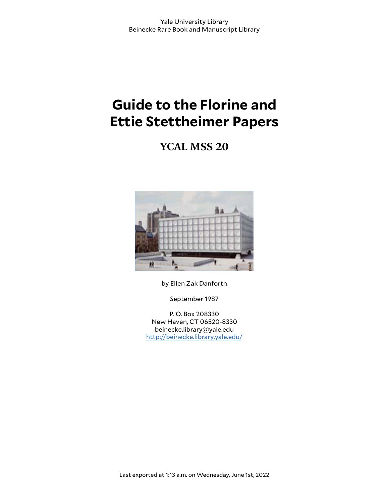# **Guide to the Florine and Ettie Stettheimer Papers**

**YCAL MSS 20**



by Ellen Zak Danforth

September 1987

P. O. Box 208330 New Haven, CT 06520-8330 beinecke.library@yale.edu <http://beinecke.library.yale.edu/>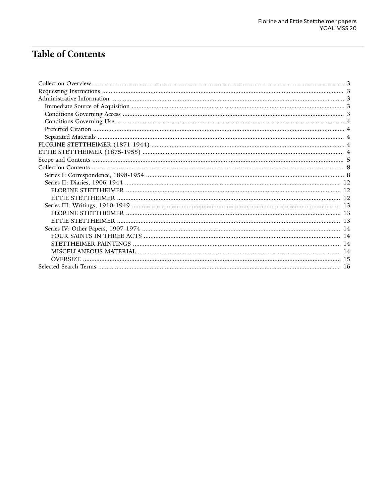# **Table of Contents**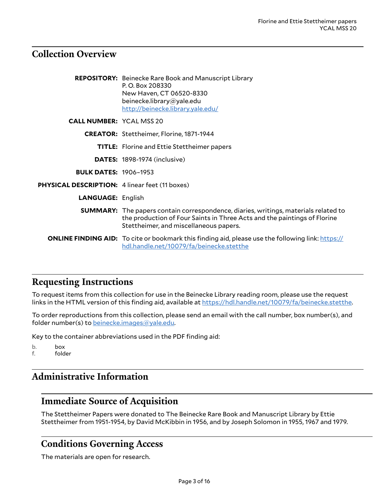## <span id="page-2-0"></span>**Collection Overview**

|                                                       | <b>REPOSITORY:</b> Beinecke Rare Book and Manuscript Library<br>P.O. Box 208330<br>New Haven, CT 06520-8330<br>beinecke.library@yale.edu<br>http://beinecke.library.yale.edu/                                    |
|-------------------------------------------------------|------------------------------------------------------------------------------------------------------------------------------------------------------------------------------------------------------------------|
| <b>CALL NUMBER: YCAL MSS 20</b>                       |                                                                                                                                                                                                                  |
|                                                       | <b>CREATOR:</b> Stettheimer, Florine, 1871-1944                                                                                                                                                                  |
|                                                       | <b>TITLE:</b> Florine and Ettie Stettheimer papers                                                                                                                                                               |
|                                                       | <b>DATES: 1898-1974 (inclusive)</b>                                                                                                                                                                              |
| <b>BULK DATES: 1906-1953</b>                          |                                                                                                                                                                                                                  |
| <b>PHYSICAL DESCRIPTION: 4 linear feet (11 boxes)</b> |                                                                                                                                                                                                                  |
| <b>LANGUAGE: English</b>                              |                                                                                                                                                                                                                  |
|                                                       | <b>SUMMARY:</b> The papers contain correspondence, diaries, writings, materials related to<br>the production of Four Saints in Three Acts and the paintings of Florine<br>Stettheimer, and miscellaneous papers. |
|                                                       | <b>ONLINE FINDING AID:</b> To cite or bookmark this finding aid, please use the following link: https://<br>hdl.handle.net/10079/fa/beinecke.stetthe                                                             |

# <span id="page-2-1"></span>**Requesting Instructions**

To request items from this collection for use in the Beinecke Library reading room, please use the request links in the HTML version of this finding aid, available at <https://hdl.handle.net/10079/fa/beinecke.stetthe>.

To order reproductions from this collection, please send an email with the call number, box number(s), and folder number(s) to [beinecke.images@yale.edu.](mailto:beinecke.images@yale.edu)

Key to the container abbreviations used in the PDF finding aid:

b. box<br>f. fold

folder

# <span id="page-2-2"></span>**Administrative Information**

### <span id="page-2-3"></span>**Immediate Source of Acquisition**

The Stettheimer Papers were donated to The Beinecke Rare Book and Manuscript Library by Ettie Stettheimer from 1951-1954, by David McKibbin in 1956, and by Joseph Solomon in 1955, 1967 and 1979.

### <span id="page-2-4"></span>**Conditions Governing Access**

The materials are open for research.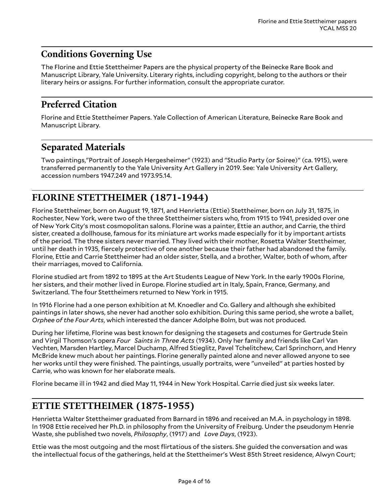# <span id="page-3-0"></span>**Conditions Governing Use**

The Florine and Ettie Stettheimer Papers are the physical property of the Beinecke Rare Book and Manuscript Library, Yale University. Literary rights, including copyright, belong to the authors or their literary heirs or assigns. For further information, consult the appropriate curator.

# <span id="page-3-1"></span>**Preferred Citation**

Florine and Ettie Stettheimer Papers. Yale Collection of American Literature, Beinecke Rare Book and Manuscript Library.

### <span id="page-3-2"></span>**Separated Materials**

Two paintings,"Portrait of Joseph Hergesheimer" (1923) and "Studio Party (or Soiree)" (ca. 1915), were transferred permanently to the Yale University Art Gallery in 2019. See: Yale University Art Gallery, accession numbers 1947.249 and 1973.95.14.

# <span id="page-3-3"></span>**FLORINE STETTHEIMER (1871-1944)**

Florine Stettheimer, born on August 19, 1871, and Henrietta (Ettie) Stettheimer, born on July 31, 1875, in Rochester, New York, were two of the three Stettheimer sisters who, from 1915 to 1941, presided over one of New York City's most cosmopolitan salons. Florine was a painter, Ettie an author, and Carrie, the third sister, created a dollhouse, famous for its miniature art works made especially for it by important artists of the period. The three sisters never married. They lived with their mother, Rosetta Walter Stettheimer, until her death in 1935, fiercely protective of one another because their father had abandoned the family. Florine, Ettie and Carrie Stettheimer had an older sister, Stella, and a brother, Walter, both of whom, after their marriages, moved to California.

Florine studied art from 1892 to 1895 at the Art Students League of New York. In the early 1900s Florine, her sisters, and their mother lived in Europe. Florine studied art in Italy, Spain, France, Germany, and Switzerland. The four Stettheimers returned to New York in 1915.

In 1916 Florine had a one person exhibition at M. Knoedler and Co. Gallery and although she exhibited paintings in later shows, she never had another solo exhibition. During this same period, she wrote a ballet, *Orphee of the Four Arts*, which interested the dancer Adolphe Bolm, but was not produced.

During her lifetime, Florine was best known for designing the stagesets and costumes for Gertrude Stein and Virgil Thomson's opera *Four Saints in Three Acts* (1934). Only her family and friends like Carl Van Vechten, Marsden Hartley, Marcel Duchamp, Alfred Stieglitz, Pavel Tchelitchew, Carl Sprinchorn, and Henry McBride knew much about her paintings. Florine generally painted alone and never allowed anyone to see her works until they were finished. The paintings, usually portraits, were "unveiled" at parties hosted by Carrie, who was known for her elaborate meals.

Florine became ill in 1942 and died May 11, 1944 in New York Hospital. Carrie died just six weeks later.

## <span id="page-3-4"></span>**ETTIE STETTHEIMER (1875-1955)**

Henrietta Walter Stettheimer graduated from Barnard in 1896 and received an M.A. in psychology in 1898. In 1908 Ettie received her Ph.D. in philosophy from the University of Freiburg. Under the pseudonym Henrie Waste, she published two novels, *Philosophy*, (1917) and *Love Days*, (1923).

Ettie was the most outgoing and the most flirtatious of the sisters. She guided the conversation and was the intellectual focus of the gatherings, held at the Stettheimer's West 85th Street residence, Alwyn Court;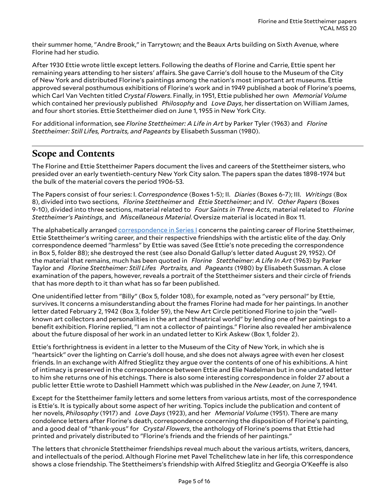their summer home, "Andre Brook," in Tarrytown; and the Beaux Arts building on Sixth Avenue, where Florine had her studio.

After 1930 Ettie wrote little except letters. Following the deaths of Florine and Carrie, Ettie spent her remaining years attending to her sisters' affairs. She gave Carrie's doll house to the Museum of the City of New York and distributed Florine's paintings among the nation's most important art museums. Ettie approved several posthumous exhibitions of Florine's work and in 1949 published a book of Florine's poems, which Carl Van Vechten titled *Crystal Flowers*. Finally, in 1951, Ettie published her own *Memorial Volume* which contained her previously published *Philosophy* and *Love Days*, her dissertation on William James, and four short stories. Ettie Stettheimer died on June 1, 1955 in New York City.

For additional information, see *Florine Stettheimer: A Life in Art* by Parker Tyler (1963) and *Florine Stettheimer: Still Lifes, Portraits, and Pageants* by Elisabeth Sussman (1980).

## <span id="page-4-0"></span>**Scope and Contents**

The Florine and Ettie Stettheimer Papers document the lives and careers of the Stettheimer sisters, who presided over an early twentieth-century New York City salon. The papers span the dates 1898-1974 but the bulk of the material covers the period 1906-53.

The Papers consist of four series: I. *Correspondence* (Boxes 1-5); II. *Diaries* (Boxes 6-7); III. *Writings* (Box 8), divided into two sections, *Florine Stettheimer* and *Ettie Stettheimer*; and IV. *Other Papers* (Boxes 9-10), divided into three sections, material related to *Four Saints in Three Acts*, material related to *Florine Stettheimer's Paintings*, and *Miscellaneous Material*. Oversize material is located in Box 11.

The alphabetically arranged [correspondence](#page-7-1) in Series I concerns the painting career of Florine Stettheimer, Ettie Stettheimer's writing career, and their respective friendships with the artistic elite of the day. Only correspondence deemed "harmless" by Ettie was saved (See Ettie's note preceding the correspondence in Box 5, folder 88); she destroyed the rest (see also Donald Gallup's letter dated August 29, 1952). Of the material that remains, much has been quoted in *Florine Stettheimer: A Life In Art* (1963) by Parker Taylor and *Florine Stettheimer: Still Lifes Portraits,* and *Pageants* (1980) by Elisabeth Sussman. A close examination of the papers, however, reveals a portrait of the Stettheimer sisters and their circle of friends that has more depth to it than what has so far been published.

One unidentified letter from "Billy" (Box 5, folder 108), for example, noted as "very personal" by Ettie, survives. It concerns a misunderstanding about the frames Florine had made for her paintings. In another letter dated February 2, 1942 (Box 3, folder 59), the New Art Circle petitioned Florine to join the "wellknown art collectors and personalities in the art and theatrical world" by lending one of her paintings to a benefit exhibition. Florine replied, "I am not a collector of paintings." Florine also revealed her ambivalence about the future disposal of her work in an undated letter to Kirk Askew (Box 1, folder 2).

Ettie's forthrightness is evident in a letter to the Museum of the City of New York, in which she is "heartsick" over the lighting on Carrie's doll house, and she does not always agree with even her closest friends. In an exchange with Alfred Stieglitz they argue over the contents of one of his exhibitions. A hint of intimacy is preserved in the correspondence between Ettie and Elie Nadelman but in one undated letter to him she returns one of his etchings. There is also some interesting correspondence in folder 27 about a public letter Ettie wrote to Dashiell Hammett which was published in the *New Leader*, on June 7, 1941.

Except for the Stettheimer family letters and some letters from various artists, most of the correspondence is Ettie's. It is typically about some aspect of her writing. Topics include the publication and content of her novels, *Philosophy* (1917) and *Love Days* (1923), and her *Memorial Volume* (1951). There are many condolence letters after Florine's death, correspondence concerning the disposition of Florine's painting, and a good deal of "thank-yous" for *Crystal Flowers*, the anthology of Florine's poems that Ettie had printed and privately distributed to "Florine's friends and the friends of her paintings."

The letters that chronicle Stettheimer friendships reveal much about the various artists, writers, dancers, and intellectuals of the period. Although Florine met Pavel Tchelitchew late in her life, this correspondence shows a close friendship. The Stettheimers's friendship with Alfred Stieglitz and Georgia O'Keeffe is also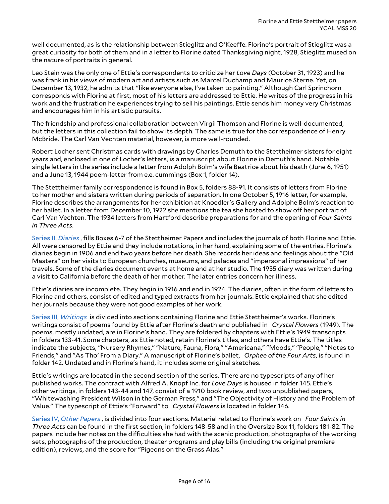well documented, as is the relationship between Stieglitz and O'Keeffe. Florine's portrait of Stieglitz was a great curiosity for both of them and in a letter to Florine dated Thanksgiving night, 1928, Stieglitz mused on the nature of portraits in general.

Leo Stein was the only one of Ettie's correspondents to criticize her *Love Days* (October 31, 1923) and he was frank in his views of modern art and artists such as Marcel Duchamp and Maurice Sterne. Yet, on December 13, 1932, he admits that "like everyone else, I've taken to painting." Although Carl Sprinchorn corresponds with Florine at first, most of his letters are addressed to Ettie. He writes of the progress in his work and the frustration he experiences trying to sell his paintings. Ettie sends him money very Christmas and encourages him in his artistic pursuits.

The friendship and professional collaboration between Virgil Thomson and Florine is well-documented, but the letters in this collection fail to show its depth. The same is true for the correspondence of Henry McBride. The Carl Van Vechten material, however, is more well-rounded.

Robert Locher sent Christmas cards with drawings by Charles Demuth to the Stettheimer sisters for eight years and, enclosed in one of Locher's letters, is a manuscript about Florine in Demuth's hand. Notable single letters in the series include a letter from Adolph Bolm's wife Beatrice about his death (June 6, 1951) and a June 13, 1944 poem-letter from e.e. cummings (Box 1, folder 14).

The Stettheimer family correspondence is found in Box 5, folders 88-91. It consists of letters from Florine to her mother and sisters written during periods of separation. In one October 5, 1916 letter, for example, Florine describes the arrangements for her exhibition at Knoedler's Gallery and Adolphe Bolm's reaction to her ballet. In a letter from December 10, 1922 she mentions the tea she hosted to show off her portrait of Carl Van Vechten. The 1934 letters from Hartford describe preparations for and the opening of *Four Saints in Three Acts*.

[Series II,](#page-11-0) *Diaries* , fills Boxes 6-7 of the Stettheimer Papers and includes the journals of both Florine and Ettie. All were censored by Ettie and they include notations, in her hand, explaining some of the entries. Florine's diaries begin in 1906 and end two years before her death. She records her ideas and feelings about the "Old Masters" on her visits to European churches, museums, and palaces and "impersonal impressions" of her travels. Some of the diaries document events at home and at her studio. The 1935 diary was written during a visit to California before the death of her mother. The later entries concern her illness.

Ettie's diaries are incomplete. They begin in 1916 and end in 1924. The diaries, often in the form of letters to Florine and others, consist of edited and typed extracts from her journals. Ettie explained that she edited her journals because they were not good examples of her work.

[Series III,](#page-12-0) *Writings* is divided into sections containing Florine and Ettie Stettheimer's works. Florine's writings consist of poems found by Ettie after Florine's death and published in *Crystal Flowers* (1949). The poems, mostly undated, are in Florine's hand. They are foldered by chapters with Ettie's 1949 transcripts in folders 133-41. Some chapters, as Ettie noted, retain Florine's titles, and others have Ettie's. The titles indicate the subjects, "Nursery Rhymes," "Nature, Fauna, Flora," "Americana," "Moods," "People," "Notes to Friends," and "As Tho' From a Diary." A manuscript of Florine's ballet, *Orphee of the Four Arts*, is found in folder 142. Undated and in Florine's hand, it includes some original sketches.

Ettie's writings are located in the second section of the series. There are no typescripts of any of her published works. The contract with Alfred A. Knopf Inc. for *Love Days* is housed in folder 145. Ettie's other writings, in folders 143-44 and 147, consist of a 1910 book review, and two unpublished papers, "Whitewashing President Wilson in the German Press," and "The Objectivity of History and the Problem of Value." The typescript of Ettie's "Forward" to *Crystal Flowers* is located in folder 146.

Series IV, *Other [Papers](#page-13-0)* , is divided into four sections. Material related to Florine's work on *Four Saints in Three Acts* can be found in the first section, in folders 148-58 and in the Oversize Box 11, folders 181-82. The papers include her notes on the difficulties she had with the scenic production, photographs of the working sets, photographs of the production, theater programs and play bills (including the original premiere edition), reviews, and the score for "Pigeons on the Grass Alas."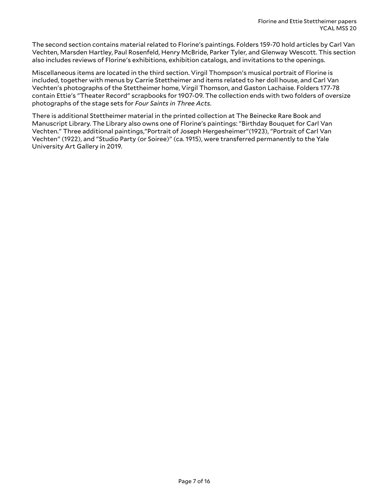The second section contains material related to Florine's paintings. Folders 159-70 hold articles by Carl Van Vechten, Marsden Hartley, Paul Rosenfeld, Henry McBride, Parker Tyler, and Glenway Wescott. This section also includes reviews of Florine's exhibitions, exhibition catalogs, and invitations to the openings.

Miscellaneous items are located in the third section. Virgil Thompson's musical portrait of Florine is included, together with menus by Carrie Stettheimer and items related to her doll house, and Carl Van Vechten's photographs of the Stettheimer home, Virgil Thomson, and Gaston Lachaise. Folders 177-78 contain Ettie's "Theater Record" scrapbooks for 1907-09. The collection ends with two folders of oversize photographs of the stage sets for *Four Saints in Three Acts*.

There is additional Stettheimer material in the printed collection at The Beinecke Rare Book and Manuscript Library. The Library also owns one of Florine's paintings: "Birthday Bouquet for Carl Van Vechten." Three additional paintings,"Portrait of Joseph Hergesheimer"(1923), "Portrait of Carl Van Vechten" (1922), and "Studio Party (or Soiree)" (ca. 1915), were transferred permanently to the Yale University Art Gallery in 2019.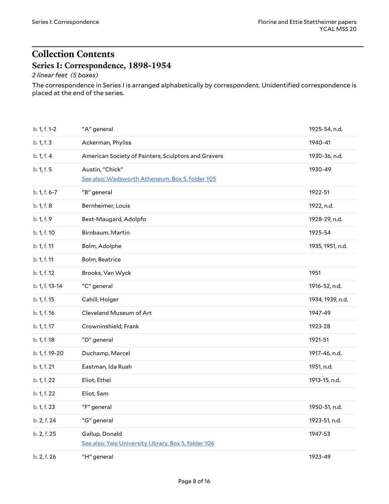# <span id="page-7-0"></span>**Collection Contents Series I: Correspondence, 1898-1954**

### <span id="page-7-1"></span>*2 linear feet (5 boxes)*

The correspondence in Series I is arranged alphabetically by correspondent. Unidentified correspondence is placed at the end of the series.

<span id="page-7-2"></span>

| b. 1, f. 1-2   | "A" general                                                            | 1925-54, n.d.    |
|----------------|------------------------------------------------------------------------|------------------|
| b. 1, f. 3     | Ackerman, Phyliss                                                      | 1940-41          |
| b. 1, f. 4     | American Society of Painters, Sculptors and Gravers                    | 1930-36, n.d.    |
| b. 1, f. 5     | Austin, "Chick"<br>See also: Wadsworth Atheneum, Box 5, folder 105     | 1930-49          |
| b. 1, f. 6-7   | "B" general                                                            | 1922-51          |
| b. 1, f. 8     | Bernheimer, Louis                                                      | 1922, n.d.       |
| b. 1, f. 9     | Best-Maugard, Adolpfo                                                  | 1928-29, n.d.    |
| b. 1, f. 10    | Birnbaum. Martin                                                       | 1925-54          |
| b. 1, f. 11    | Bolm, Adolphe                                                          | 1935, 1951, n.d. |
| b. 1, f. 11    | Bolm, Beatrice                                                         |                  |
| b. 1, f. 12    | Brooks, Van Wyck                                                       | 1951             |
| b. 1, f. 13-14 | "C" general                                                            | 1916-52, n.d.    |
| b. 1, f. 15    | Cahill, Holger                                                         | 1934, 1939, n.d. |
| b. 1, f. 16    | Cleveland Museum of Art                                                | 1947-49          |
| b. 1, f. 17    | Crowninshield, Frank                                                   | 1923-28          |
| b. 1, f. 18    | "D" general                                                            | 1921-51          |
| b. 1, f. 19-20 | Duchamp, Marcel                                                        | 1917-46, n.d.    |
| b. 1, f. 21    | Eastman, Ida Ruah                                                      | 1951, n.d.       |
| b. 1, f. 22    | Eliot, Ethel                                                           | 1913-15, n.d.    |
| b. 1, f. 22    | Eliot, Sam                                                             |                  |
| b. 1, f. 23    | "F" general                                                            | 1950-51, n.d.    |
| b. 2, f. 24    | "G" general                                                            | 1923-51, n.d.    |
| b. 2, f. 25    | Gallup, Donald<br>See also: Yale University Library, Box 5, folder 106 | 1947-53          |
| b. 2, f. 26    | "H" general                                                            | 1923-49          |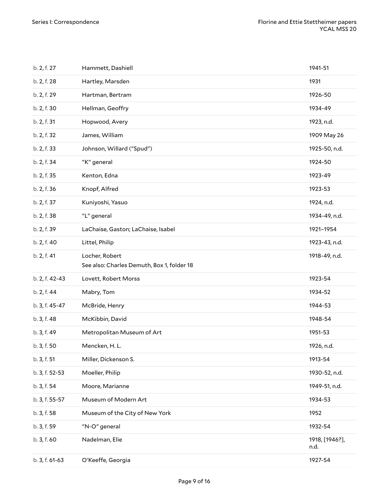| b. 2, f. 27    | Hammett, Dashiell                                            | 1941-51                |
|----------------|--------------------------------------------------------------|------------------------|
| b. 2, f. 28    | Hartley, Marsden                                             | 1931                   |
| b. 2, f. 29    | Hartman, Bertram                                             | 1926-50                |
| b. 2, f. 30    | Hellman, Geoffry                                             | 1934-49                |
| b. 2, f. 31    | Hopwood, Avery                                               | 1923, n.d.             |
| b. 2, f. 32    | James, William                                               | 1909 May 26            |
| b. 2, f. 33    | Johnson, Willard ("Spud")                                    | 1925-50, n.d.          |
| b. 2, f. 34    | "K" general                                                  | 1924-50                |
| b. 2, f. 35    | Kenton, Edna                                                 | 1923-49                |
| b. 2, f. 36    | Knopf, Alfred                                                | 1923-53                |
| b. 2, f. 37    | Kuniyoshi, Yasuo                                             | 1924, n.d.             |
| b. 2, f. 38    | "L" general                                                  | 1934-49, n.d.          |
| b. 2, f. 39    | LaChaise, Gaston; LaChaise, Isabel                           | 1921-1954              |
| b. 2, f. 40    | Littel, Philip                                               | 1923-43, n.d.          |
| b. 2, f. 41    | Locher, Robert<br>See also: Charles Demuth, Box 1, folder 18 | 1918-49, n.d.          |
| b. 2, f. 42-43 | Lovett, Robert Morss                                         | 1923-54                |
| b. 2, f. 44    | Mabry, Tom                                                   | 1934-52                |
| b. 3, f. 45-47 | McBride, Henry                                               | 1944-53                |
| b. 3, f. 48    | McKibbin, David                                              | 1948-54                |
| b. 3, f. 49    | Metropolitan Museum of Art                                   | 1951-53                |
| b. 3, f. 50    | Mencken, H. L.                                               | 1926, n.d.             |
| b. 3, f. 51    | Miller, Dickenson S.                                         | 1913-54                |
| b. 3, f. 52-53 | Moeller, Philip                                              | 1930-52, n.d.          |
| b. 3, f. 54    | Moore, Marianne                                              | 1949-51, n.d.          |
| b. 3, f. 55-57 | Museum of Modern Art                                         | 1934-53                |
| b. 3, f. 58    | Museum of the City of New York                               | 1952                   |
| b. 3, f. 59    | "N-O" general                                                | 1932-54                |
| b. 3, f. 60    | Nadelman, Elie                                               | 1918, [1946?],<br>n.d. |
| b. 3, f. 61-63 | O'Keeffe, Georgia                                            | 1927-54                |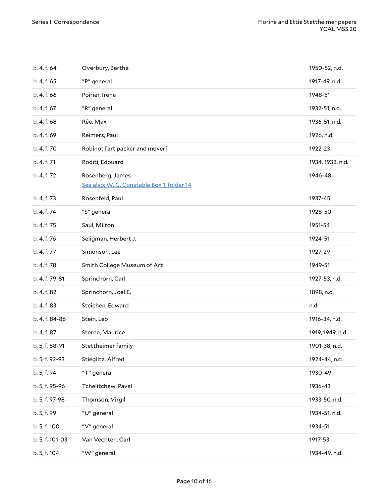<span id="page-9-0"></span>

| b. 4, f. 64     | Overbury, Bertha                                               | 1950-52, n.d.    |
|-----------------|----------------------------------------------------------------|------------------|
| b. 4, f. 65     | "P" general                                                    | 1917-49, n.d.    |
| b. 4, f. 66     | Poirier, Irene                                                 | 1948-51          |
| b. 4, f. 67     | "R" general                                                    | 1932-51, n.d.    |
| b. 4, f. 68     | Rée, Max                                                       | 1936-51, n.d.    |
| b. 4, f. 69     | Reimers, Paul                                                  | 1926, n.d.       |
| b. 4, f. 70     | Robinot [art packer and mover]                                 | 1922-23          |
| b. 4, f. 71     | Roditi, Edouard                                                | 1934, 1938, n.d. |
| b. 4, f. 72     | Rosenberg, James<br>See also: W. G. Constable Box 1, folder 14 | 1946-48          |
| b. 4, f. 73     | Rosenfeld, Paul                                                | 1937-45          |
| b. 4, f. 74     | "S" general                                                    | 1928-50          |
| b. 4, f. 75     | Saul, Milton                                                   | 1951-54          |
| b. 4, f. 76     | Seligman, Herbert J.                                           | 1924-51          |
| b. 4, f. 77     | Simonson, Lee                                                  | 1927-29          |
| b. 4, f. 78     | Smith College Museum of Art                                    | 1949-51          |
| b. 4, f. 79-81  | Sprinchorn, Carl                                               | 1927-53, n.d.    |
| b. 4, f. 82     | Sprinchorn, Joel E.                                            | 1898, n.d.       |
| b. 4, f. 83     | Steichen, Edward                                               | n.d.             |
| b. 4, f. 84-86  | Stein, Leo                                                     | 1916-34, n.d.    |
| b. 4, f. 87     | Sterne, Maurice                                                | 1919, 1949, n.d. |
| b. 5, f. 88-91  | Stettheimer family                                             | 1901-38, n.d.    |
| b. 5, f. 92-93  | Stieglitz, Alfred                                              | 1924-44, n.d.    |
| b. 5, f. 94     | "T" general                                                    | 1930-49          |
| b. 5, f. 95-96  | Tchelitchew, Pavel                                             | 1936-43          |
| b. 5, f. 97-98  | Thomson, Virgil                                                | 1933-50, n.d.    |
| b. 5, f. 99     | "U" general                                                    | 1934-51, n.d.    |
| b. 5, f. 100    | "V" general                                                    | 1934-51          |
| b. 5, f. 101-03 | Van Vechten, Carl                                              | 1917-53          |
| b. 5, f. 104    | "W" general                                                    | 1934-49, n.d.    |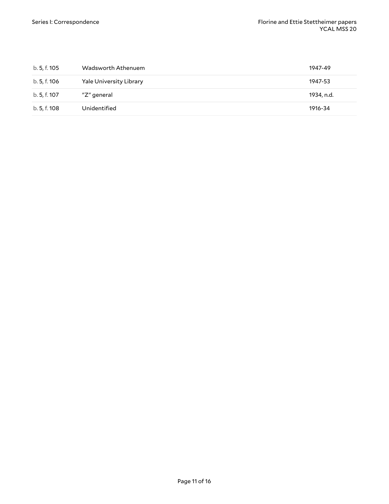<span id="page-10-1"></span><span id="page-10-0"></span>

| b. 5, f. 105 | Wadsworth Athenuem             | 1947-49    |
|--------------|--------------------------------|------------|
| b. 5, f. 106 | <b>Yale University Library</b> | 1947-53    |
| b. 5, f. 107 | "Z" general                    | 1934, n.d. |
| b. 5, f. 108 | Unidentified                   | 1916-34    |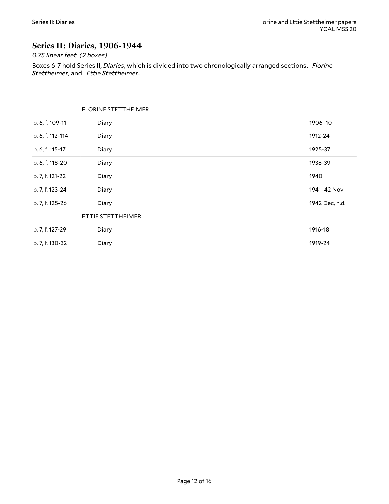### <span id="page-11-0"></span>**Series II: Diaries, 1906-1944**

#### *0.75 linear feet (2 boxes)*

Boxes 6-7 hold Series II, *Diaries*, which is divided into two chronologically arranged sections, *Florine Stettheimer*, and *Ettie Stettheimer*.

#### <span id="page-11-2"></span><span id="page-11-1"></span>FLORINE STETTHEIMER

| b. 6, f. 109-11  | Diary             | 1906-10        |
|------------------|-------------------|----------------|
| b. 6, f. 112-114 | Diary             | 1912-24        |
| b. 6, f. 115-17  | Diary             | 1925-37        |
| b. 6, f. 118-20  | Diary             | 1938-39        |
| b. 7, f. 121-22  | Diary             | 1940           |
| b. 7, f. 123-24  | Diary             | 1941-42 Nov    |
| b. 7, f. 125-26  | Diary             | 1942 Dec, n.d. |
|                  | ETTIE STETTHEIMER |                |
| b. 7, f. 127-29  | Diary             | 1916-18        |
| b. 7, f. 130-32  | Diary             | 1919-24        |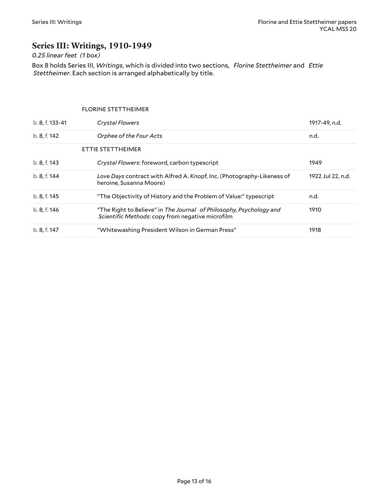### <span id="page-12-0"></span>**Series III: Writings, 1910-1949**

### *0.25 linear feet (1 box)*

Box 8 holds Series III, *Writings*, which is divided into two sections, *Florine Stettheimer* and *Ettie Stettheimer*. Each section is arranged alphabetically by title.

#### <span id="page-12-2"></span><span id="page-12-1"></span>FLORINE STETTHEIMER

| b. 8, f. 133-41 | <b>Crystal Flowers</b>                                                                                                  | 1917-49, n.d.     |
|-----------------|-------------------------------------------------------------------------------------------------------------------------|-------------------|
| b. 8, f. 142    | Orphee of the Four Acts                                                                                                 | n.d.              |
|                 | ETTIE STETTHEIMER                                                                                                       |                   |
| b. 8, f. 143    | Crystal Flowers: foreword, carbon typescript                                                                            | 1949              |
| b. 8, f. 144    | Love Days contract with Alfred A. Knopf, Inc. (Photography-Likeness of<br>heroine, Susanna Moore)                       | 1922 Jul 22, n.d. |
| b. 8, f. 145    | "The Objectivity of History and the Problem of Value:" typescript                                                       | n.d.              |
| b. 8, f. 146    | "The Right to Believe" in The Journal of Philosophy, Psychology and<br>Scientific Methods: copy from negative microfilm | 1910              |
| b. 8, f. 147    | "Whitewashing President Wilson in German Press"                                                                         | 1918              |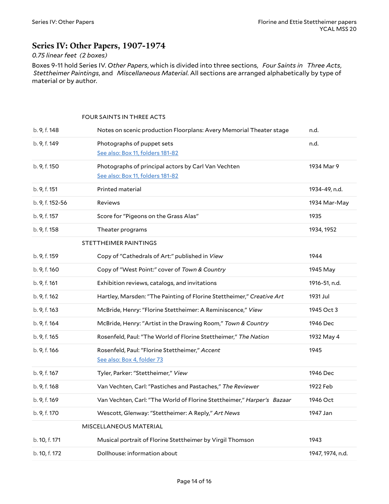### <span id="page-13-0"></span>**Series IV: Other Papers, 1907-1974**

#### *0.75 linear feet (2 boxes)*

Boxes 9-11 hold Series IV. *Other Papers*, which is divided into three sections, *Four Saints in Three Acts*, *Stettheimer Paintings*, and *Miscellaneous Material*. All sections are arranged alphabetically by type of material or by author.

#### <span id="page-13-1"></span>FOUR SAINTS IN THREE ACTS

<span id="page-13-3"></span><span id="page-13-2"></span>

| b. 9, f. 148    | Notes on scenic production Floorplans: Avery Memorial Theater stage                     | n.d.             |
|-----------------|-----------------------------------------------------------------------------------------|------------------|
| b. 9, f. 149    | Photographs of puppet sets<br>See also: Box 11, folders 181-82                          | n.d.             |
| b. 9, f. 150    | Photographs of principal actors by Carl Van Vechten<br>See also: Box 11, folders 181-82 | 1934 Mar 9       |
| b. 9, f. 151    | Printed material                                                                        | 1934-49, n.d.    |
| b. 9, f. 152-56 | Reviews                                                                                 | 1934 Mar-May     |
| b. 9, f. 157    | Score for "Pigeons on the Grass Alas"                                                   | 1935             |
| b. 9, f. 158    | Theater programs                                                                        | 1934, 1952       |
|                 | STETTHEIMER PAINTINGS                                                                   |                  |
| b. 9, f. 159    | Copy of "Cathedrals of Art:" published in View                                          | 1944             |
| b. 9, f. 160    | Copy of "West Point:" cover of Town & Country                                           | 1945 May         |
| b. 9, f. 161    | Exhibition reviews, catalogs, and invitations                                           | 1916-51, n.d.    |
| b. 9, f. 162    | Hartley, Marsden: "The Painting of Florine Stettheimer," Creative Art                   | 1931 Jul         |
| b. 9, f. 163    | McBride, Henry: "Florine Stettheimer: A Reminiscence," View                             | 1945 Oct 3       |
| b. 9, f. 164    | McBride, Henry: "Artist in the Drawing Room," Town & Country                            | 1946 Dec         |
| b. 9, f. 165    | Rosenfeld, Paul: "The World of Florine Stettheimer," The Nation                         | 1932 May 4       |
| b. 9, f. 166    | Rosenfeld, Paul: "Florine Stettheimer," Accent<br>See also: Box 4, folder 73            | 1945             |
| b. 9, f. 167    | Tyler, Parker: "Stettheimer," View                                                      | 1946 Dec         |
| b. 9, f. 168    | Van Vechten, Carl: "Pastiches and Pastaches," The Reviewer                              | 1922 Feb         |
| b. 9, f. 169    | Van Vechten, Carl: "The World of Florine Stettheimer," Harper's Bazaar                  | 1946 Oct         |
| b. 9, f. 170    | Wescott, Glenway: "Stettheimer: A Reply," Art News                                      | 1947 Jan         |
|                 | MISCELLANEOUS MATERIAL                                                                  |                  |
| b. 10, f. 171   | Musical portrait of Florine Stettheimer by Virgil Thomson                               | 1943             |
| b. 10, f. 172   | Dollhouse: information about                                                            | 1947, 1974, n.d. |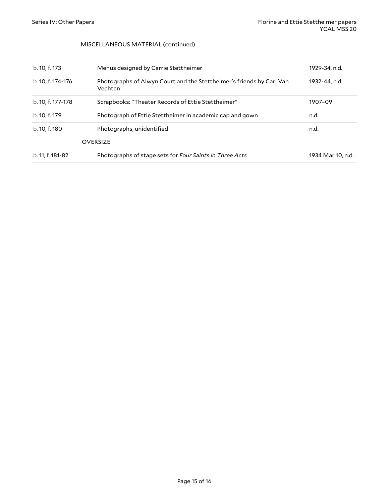#### MISCELLANEOUS MATERIAL (continued)

<span id="page-14-1"></span><span id="page-14-0"></span>

| b. 10, f. 173     | Menus designed by Carrie Stettheimer                                            | 1929-34, n.d.     |
|-------------------|---------------------------------------------------------------------------------|-------------------|
| b. 10, f. 174-176 | Photographs of Alwyn Court and the Stettheimer's friends by Carl Van<br>Vechten | 1932-44. n.d.     |
| b. 10, f. 177-178 | Scrapbooks: "Theater Records of Ettie Stettheimer"                              | 1907-09           |
| b. 10, f. 179     | Photograph of Ettie Stettheimer in academic cap and gown                        | n.d.              |
| b. 10, f. 180     | Photographs, unidentified                                                       | n.d.              |
|                   | <b>OVERSIZE</b>                                                                 |                   |
| b. 11, f. 181-82  | Photographs of stage sets for Four Saints in Three Acts                         | 1934 Mar 10, n.d. |